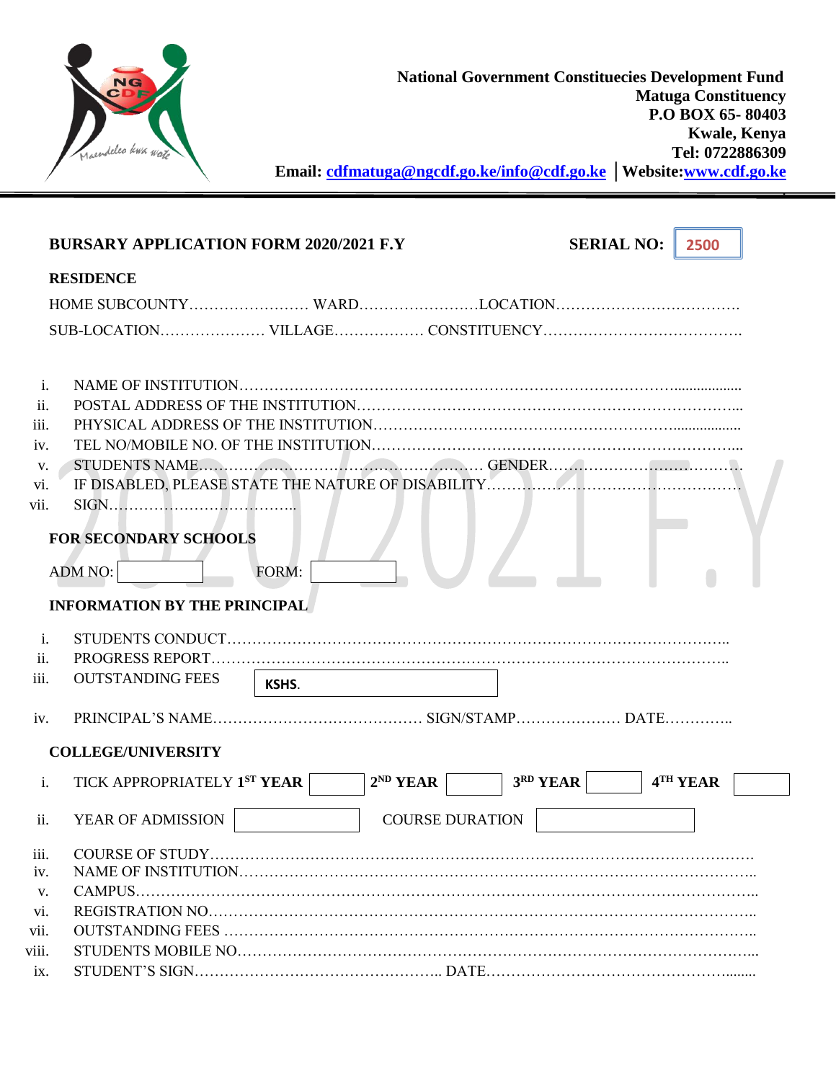

.

|                 | <b>BURSARY APPLICATION FORM 2020/2021 F.Y</b> |       |               |                        | <b>SERIAL NO:</b> | 2500     |
|-----------------|-----------------------------------------------|-------|---------------|------------------------|-------------------|----------|
|                 | <b>RESIDENCE</b>                              |       |               |                        |                   |          |
|                 |                                               |       |               |                        |                   |          |
|                 |                                               |       |               |                        |                   |          |
|                 |                                               |       |               |                        |                   |          |
| $\mathbf{i}$ .  |                                               |       |               |                        |                   |          |
| ii.             |                                               |       |               |                        |                   |          |
| iii.            |                                               |       |               |                        |                   |          |
| iv.             |                                               |       |               |                        |                   |          |
| V.              |                                               |       |               |                        |                   |          |
| vi.             |                                               |       |               |                        |                   |          |
| vii.            |                                               |       |               |                        |                   |          |
|                 | <b>FOR SECONDARY SCHOOLS</b>                  |       |               |                        |                   |          |
|                 |                                               |       |               |                        |                   |          |
|                 | <b>ADM NO:</b>                                | FORM: |               |                        |                   |          |
|                 | <b>INFORMATION BY THE PRINCIPAL</b>           |       |               |                        |                   |          |
|                 |                                               |       |               |                        |                   |          |
| i.<br>ii.       |                                               |       |               |                        |                   |          |
| iii.            | <b>OUTSTANDING FEES</b>                       |       |               |                        |                   |          |
|                 |                                               | KSHS. |               |                        |                   |          |
| iv.             |                                               |       |               |                        |                   |          |
|                 | <b>COLLEGE/UNIVERSITY</b>                     |       |               |                        |                   |          |
| i.              | TICK APPROPRIATELY 1ST YEAR                   |       | $2^{ND}$ YEAR | 3RD YEAR               |                   | 4TH YEAR |
|                 |                                               |       |               |                        |                   |          |
| ii.             | YEAR OF ADMISSION                             |       |               | <b>COURSE DURATION</b> |                   |          |
|                 |                                               |       |               |                        |                   |          |
| iii.            |                                               |       |               |                        |                   |          |
| iv.             |                                               |       |               |                        |                   |          |
| V.              |                                               |       |               |                        |                   |          |
| vi.<br>vii.     |                                               |       |               |                        |                   |          |
| viii.           |                                               |       |               |                        |                   |          |
| $i\mathbf{x}$ . |                                               |       |               |                        |                   |          |